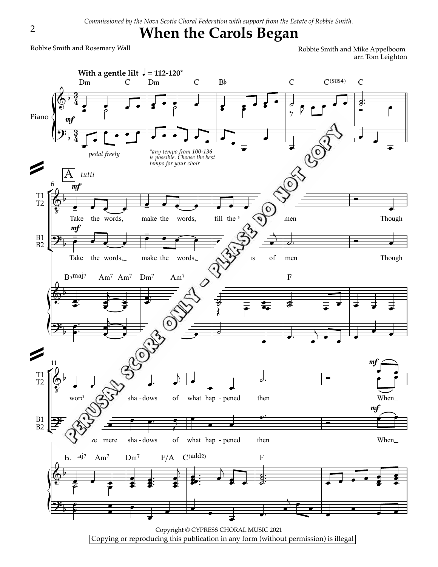## **When the Carols Began**

Robbie Smith and Rosemary Wall

Robbie Smith and Mike Appelboom arr. Tom Leighton

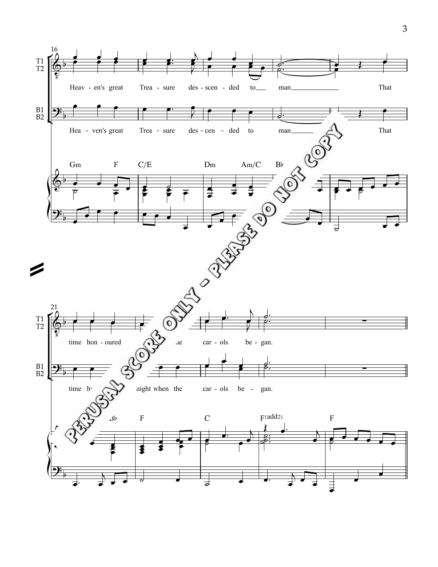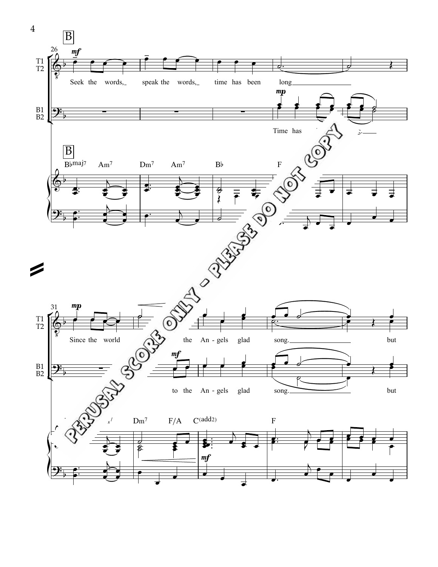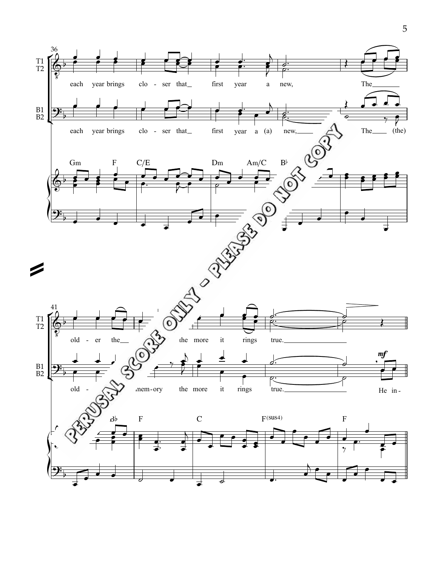

<sup>5</sup>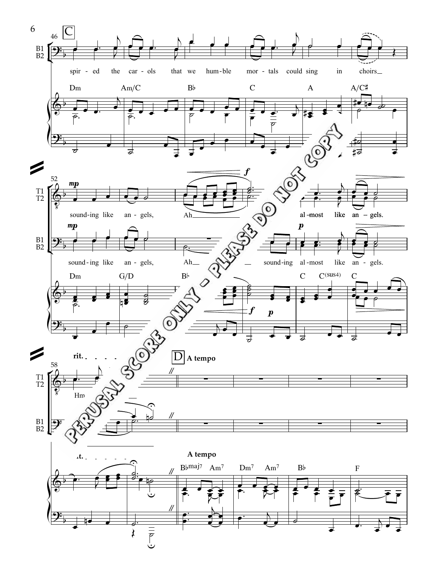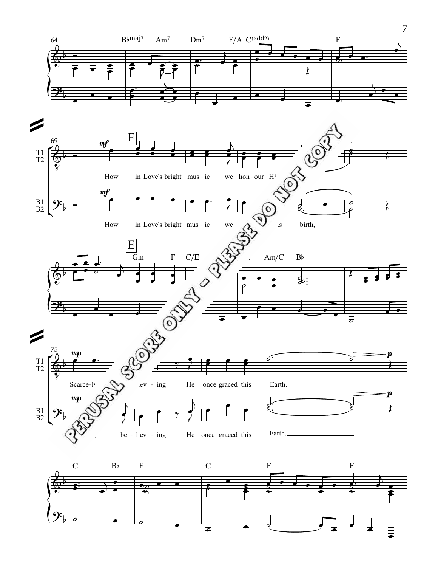

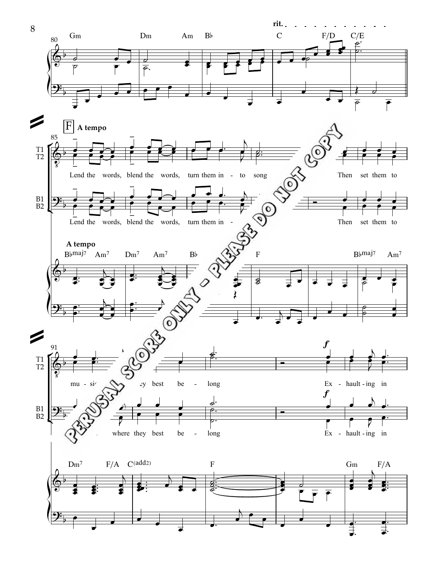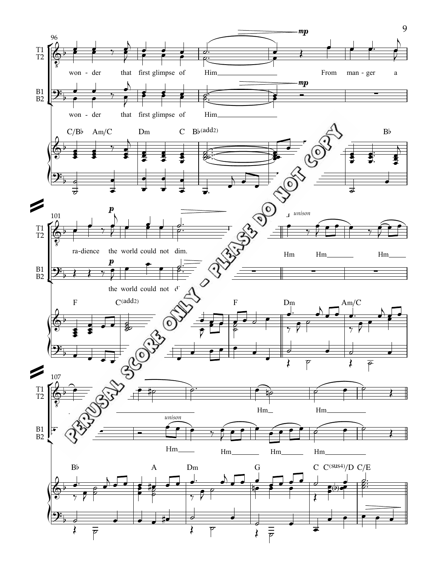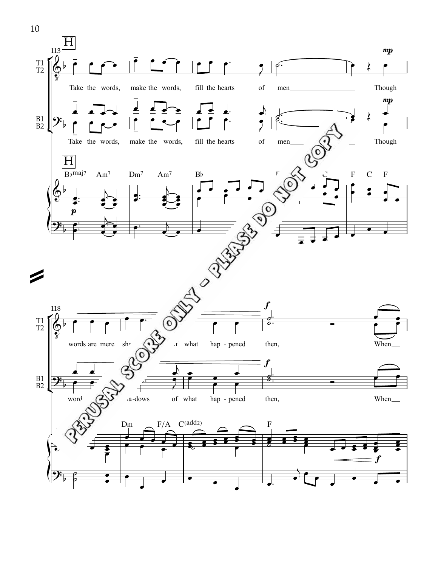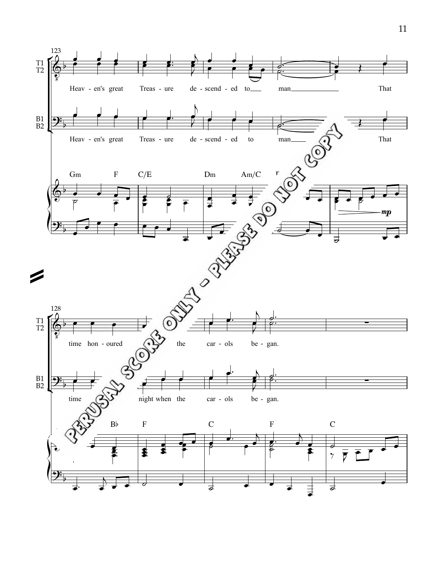

11